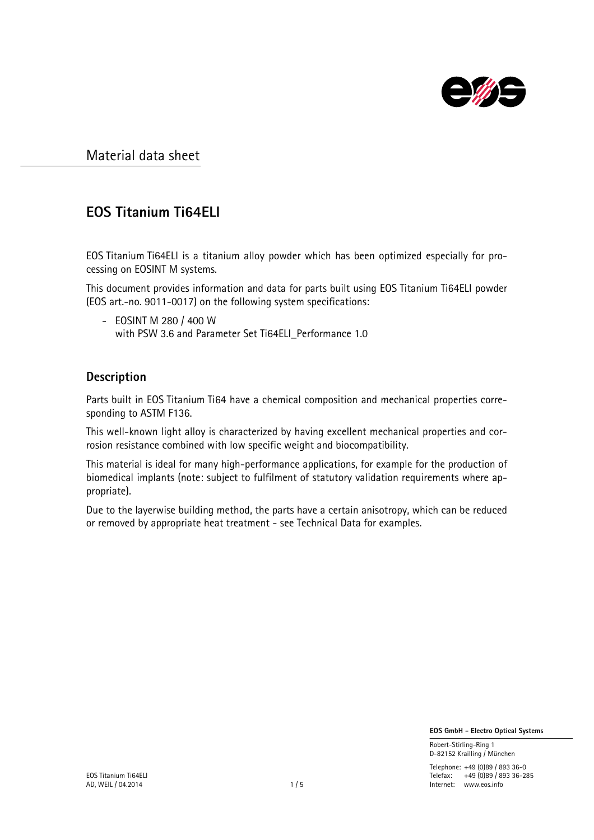

# EOS Titanium Ti64ELI

EOS Titanium Ti64ELI is a titanium alloy powder which has been optimized especially for processing on EOSINT M systems.

This document provides information and data for parts built using EOS Titanium Ti64ELI powder (EOS art.-no. 9011-0017) on the following system specifications:

- EOSINT M 280 / 400 W with PSW 3.6 and Parameter Set Ti64ELI Performance 1.0

### Description

Parts built in EOS Titanium Ti64 have a chemical composition and mechanical properties corresponding to ASTM F136.

This well-known light alloy is characterized by having excellent mechanical properties and corrosion resistance combined with low specific weight and biocompatibility.

This material is ideal for many high-performance applications, for example for the production of biomedical implants (note: subject to fulfilment of statutory validation requirements where appropriate).

Due to the layerwise building method, the parts have a certain anisotropy, which can be reduced or removed by appropriate heat treatment - see Technical Data for examples.

EOS GmbH - Electro Optical Systems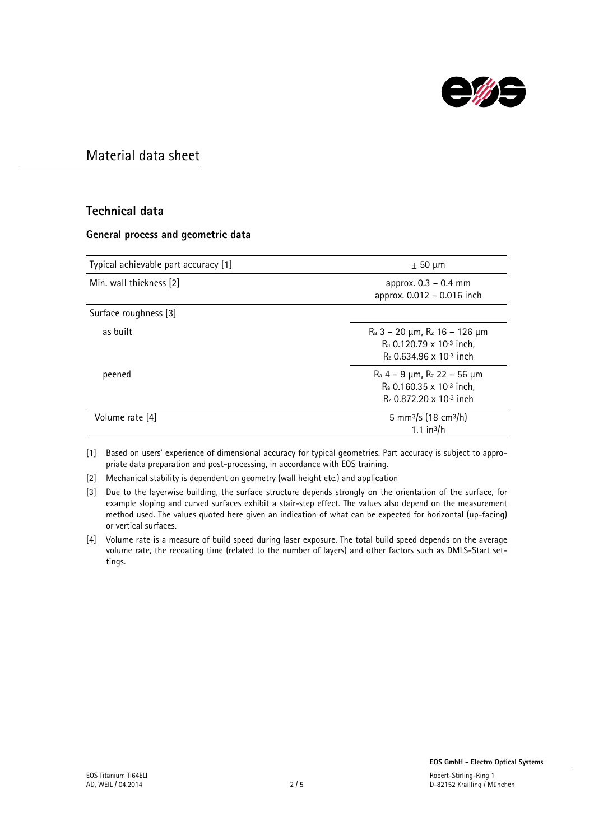

### Technical data

#### General process and geometric data

| Typical achievable part accuracy [1] | $\pm$ 50 µm                                                                                                          |
|--------------------------------------|----------------------------------------------------------------------------------------------------------------------|
| Min. wall thickness [2]              | approx. 0.3 - 0.4 mm<br>approx. 0.012 - 0.016 inch                                                                   |
| Surface roughness [3]                |                                                                                                                      |
| as built                             | $\rm{Ra}$ 3 – 20 µm, $\rm{R}_z$ 16 – 126 µm<br>$R_a$ 0.120.79 x 10-3 inch,<br>$R_7$ 0.634.96 x 10 <sup>-3</sup> inch |
| peened                               | $\rm{Ra}$ 4 – 9 µm, $\rm{R}_z$ 22 – 56 µm<br>$R_a$ 0.160.35 x 10-3 inch,<br>$R_z$ 0.872.20 x 10 <sup>-3</sup> inch   |
| Volume rate [4]                      | 5 mm <sup>3</sup> /s (18 cm <sup>3</sup> /h)<br>$1.1$ in <sup>3</sup> /h                                             |

[1] Based on users' experience of dimensional accuracy for typical geometries. Part accuracy is subject to appropriate data preparation and post-processing, in accordance with EOS training.

[2] Mechanical stability is dependent on geometry (wall height etc.) and application

[3] Due to the layerwise building, the surface structure depends strongly on the orientation of the surface, for example sloping and curved surfaces exhibit a stair-step effect. The values also depend on the measurement method used. The values quoted here given an indication of what can be expected for horizontal (up-facing) or vertical surfaces.

[4] Volume rate is a measure of build speed during laser exposure. The total build speed depends on the average volume rate, the recoating time (related to the number of layers) and other factors such as DMLS-Start settings.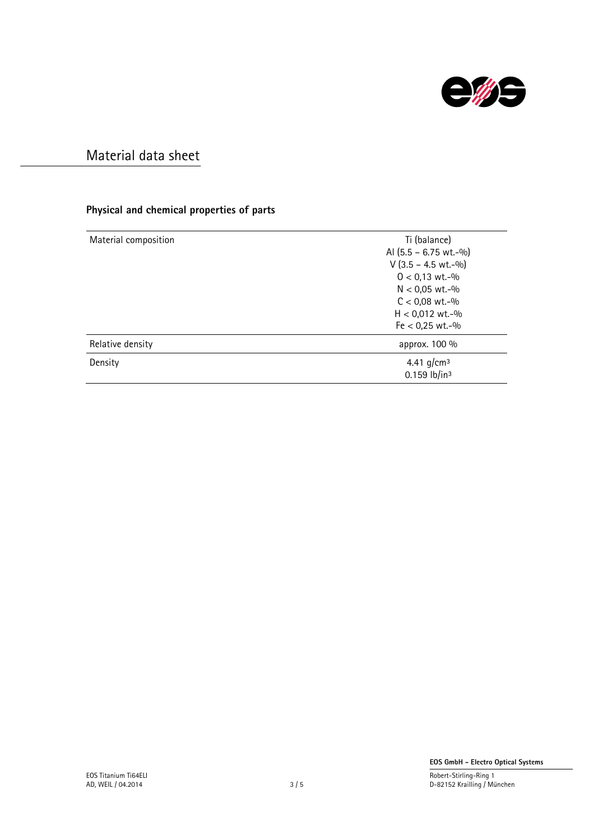

### Physical and chemical properties of parts

| Material composition | Ti (balance)                               |
|----------------------|--------------------------------------------|
|                      | Al $(5.5 - 6.75 \text{ wt.} -\frac{0}{0})$ |
|                      | $V$ (3.5 – 4.5 wt.-%)                      |
|                      | $0 < 0.13$ wt.-%                           |
|                      | $N < 0.05$ wt.-%                           |
|                      | $C < 0.08$ wt.-%                           |
|                      | $H < 0.012$ wt.-%                          |
|                      | $Fe < 0.25$ wt.-%                          |
| Relative density     | approx. 100 %                              |
| Density              | 4.41 $q/cm^3$                              |
|                      | $0.159$ lb/in <sup>3</sup>                 |
|                      |                                            |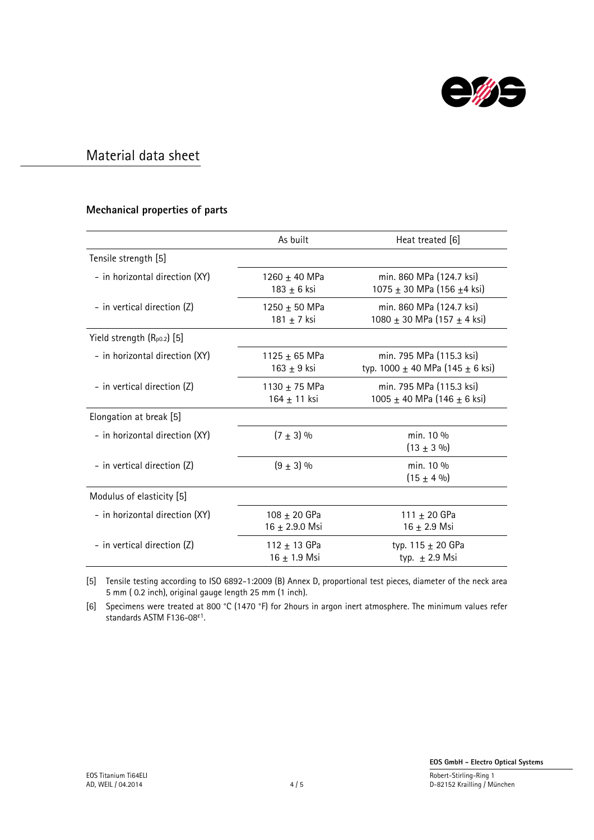

#### Mechanical properties of parts

|                                 | As built                             | Heat treated [6]                                                     |
|---------------------------------|--------------------------------------|----------------------------------------------------------------------|
| Tensile strength [5]            |                                      |                                                                      |
| - in horizontal direction (XY)  | 1260 $\pm$ 40 MPa<br>183 $\pm$ 6 ksi | min. 860 MPa (124.7 ksi)<br>1075 $\pm$ 30 MPa (156 $\pm$ 4 ksi)      |
| - in vertical direction (Z)     | $1250 + 50$ MPa<br>181 $\pm$ 7 ksi   | min. 860 MPa (124.7 ksi)<br>1080 ± 30 MPa (157 ± 4 ksi)              |
| Yield strength $(R_{p0.2})$ [5] |                                      |                                                                      |
| - in horizontal direction (XY)  | 1125 $\pm$ 65 MPa<br>163 $\pm$ 9 ksi | min. 795 MPa (115.3 ksi)<br>typ. 1000 $\pm$ 40 MPa (145 $\pm$ 6 ksi) |
| - in vertical direction (Z)     | $1130 + 75$ MPa<br>164 ± 11 ksi      | min. 795 MPa (115.3 ksi)<br>1005 ± 40 MPa (146 ± 6 ksi)              |
| Elongation at break [5]         |                                      |                                                                      |
| - in horizontal direction (XY)  | $(7 \pm 3)$ %                        | min. 10 %<br>$(13 \pm 3 \%)$                                         |
| - in vertical direction (Z)     | $(9 + 3)$ %                          | min. 10 %<br>$(15 \pm 4 \%)$                                         |
| Modulus of elasticity [5]       |                                      |                                                                      |
| - in horizontal direction (XY)  | 108 ± 20 GPa<br>16 + 2.9.0 Msi       | 111 ± 20 GPa<br>$16 + 2.9$ Msi                                       |
| - in vertical direction (Z)     | 112 $\pm$ 13 GPa<br>$16 + 1.9$ Msi   | typ. $115 \pm 20$ GPa<br>typ. $\pm$ 2.9 Msi                          |

[5] Tensile testing according to ISO 6892-1:2009 (B) Annex D, proportional test pieces, diameter of the neck area 5 mm ( 0.2 inch), original gauge length 25 mm (1 inch).

[6] Specimens were treated at 800 °C (1470 °F) for 2hours in argon inert atmosphere. The minimum values refer standards ASTM F136-08ε1.